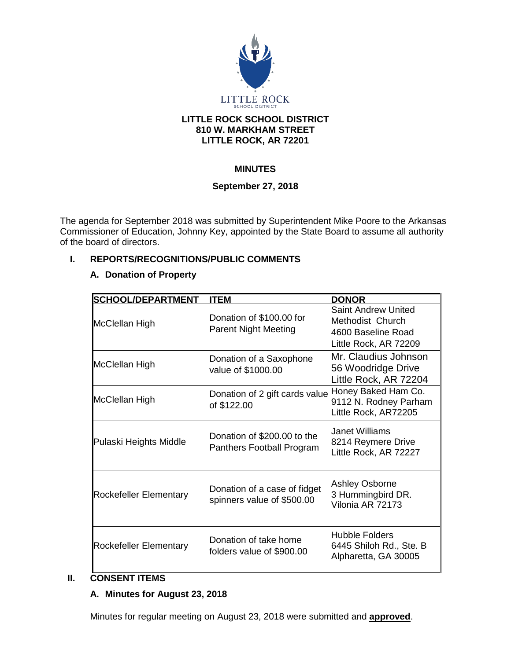

#### **LITTLE ROCK SCHOOL DISTRICT 810 W. MARKHAM STREET LITTLE ROCK, AR 72201**

# **MINUTES**

# **September 27, 2018**

The agenda for September 2018 was submitted by Superintendent Mike Poore to the Arkansas Commissioner of Education, Johnny Key, appointed by the State Board to assume all authority of the board of directors.

# **I. REPORTS/RECOGNITIONS/PUBLIC COMMENTS**

# **A. Donation of Property**

| <b>SCHOOL/DEPARTMENT</b>      | <b>IITEM</b>                                                      | <b>DONOR</b>                                                                                  |
|-------------------------------|-------------------------------------------------------------------|-----------------------------------------------------------------------------------------------|
| McClellan High                | Donation of \$100.00 for<br><b>Parent Night Meeting</b>           | <b>Saint Andrew United</b><br>Methodist Church<br>4600 Baseline Road<br>Little Rock, AR 72209 |
| McClellan High                | Donation of a Saxophone<br>value of \$1000.00                     | Mr. Claudius Johnson<br>56 Woodridge Drive<br>Little Rock, AR 72204                           |
| McClellan High                | Donation of 2 gift cards value Honey Baked Ham Co.<br>of \$122.00 | 9112 N. Rodney Parham<br>Little Rock, AR72205                                                 |
| Pulaski Heights Middle        | Donation of \$200.00 to the<br>Panthers Football Program          | Uanet Williams<br>8214 Reymere Drive<br>Little Rock, AR 72227                                 |
| <b>Rockefeller Elementary</b> | Donation of a case of fidget<br>spinners value of \$500.00        | <b>Ashley Osborne</b><br>3 Hummingbird DR.<br>Vilonia AR 72173                                |
| <b>Rockefeller Elementary</b> | Donation of take home<br>folders value of \$900.00                | Hubble Folders<br>6445 Shiloh Rd., Ste. B<br>Alpharetta, GA 30005                             |

# **II. CONSENT ITEMS**

# **A. Minutes for August 23, 2018**

Minutes for regular meeting on August 23, 2018 were submitted and **approved**.